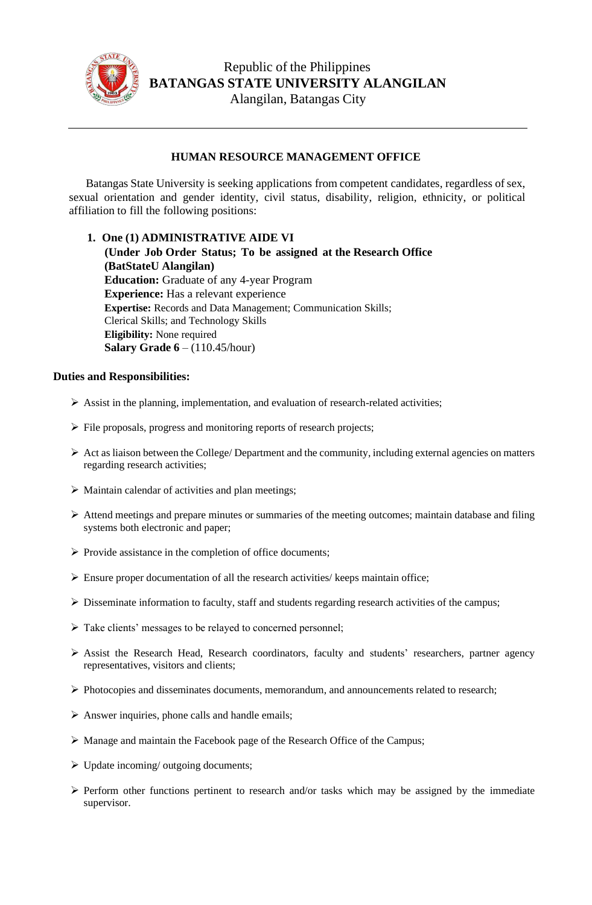

## **HUMAN RESOURCE MANAGEMENT OFFICE**

Batangas State University is seeking applications from competent candidates, regardless of sex, sexual orientation and gender identity, civil status, disability, religion, ethnicity, or political affiliation to fill the following positions:

## **1. One (1) ADMINISTRATIVE AIDE VI**

**(Under Job Order Status; To be assigned at the Research Office (BatStateU Alangilan) Education:** Graduate of any 4-year Program **Experience:** Has a relevant experience **Expertise:** Records and Data Management; Communication Skills; Clerical Skills; and Technology Skills **Eligibility:** None required **Salary Grade 6** – (110.45/hour)

## **Duties and Responsibilities:**

- ➢ Assist in the planning, implementation, and evaluation of research-related activities;
- ➢ File proposals, progress and monitoring reports of research projects;
- $\triangleright$  Act as liaison between the College/ Department and the community, including external agencies on matters regarding research activities;
- ➢ Maintain calendar of activities and plan meetings;
- ➢ Attend meetings and prepare minutes or summaries of the meeting outcomes; maintain database and filing systems both electronic and paper;
- ➢ Provide assistance in the completion of office documents;
- $\triangleright$  Ensure proper documentation of all the research activities/ keeps maintain office;
- ➢ Disseminate information to faculty, staff and students regarding research activities of the campus;
- ➢ Take clients' messages to be relayed to concerned personnel;
- $\triangleright$  Assist the Research Head, Research coordinators, faculty and students' researchers, partner agency representatives, visitors and clients;
- ➢ Photocopies and disseminates documents, memorandum, and announcements related to research;
- $\triangleright$  Answer inquiries, phone calls and handle emails;
- ➢ Manage and maintain the Facebook page of the Research Office of the Campus;
- $\triangleright$  Update incoming/ outgoing documents;
- ➢ Perform other functions pertinent to research and/or tasks which may be assigned by the immediate supervisor.